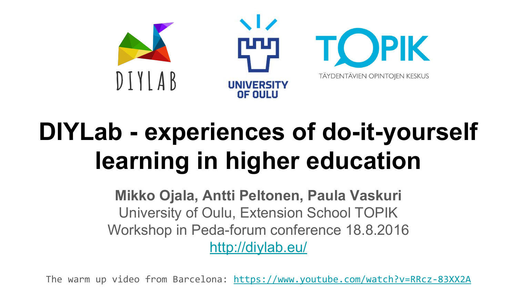

## **DIYLab - experiences of do-it-yourself learning in higher education**

**Mikko Ojala, Antti Peltonen, Paula Vaskuri** University of Oulu, Extension School TOPIK Workshop in Peda-forum conference 18.8.2016 <http://diylab.eu/>

The warm up video from Barcelona:<https://www.youtube.com/watch?v=RRcz-83XX2A>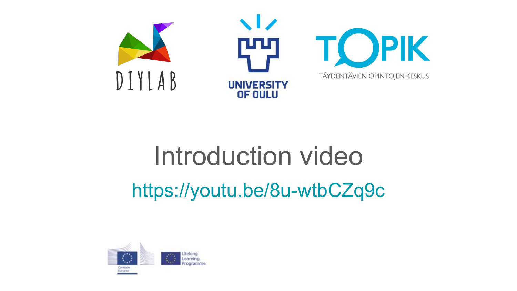

## Introduction video

https://youtu.be/8u-wtbCZq9c

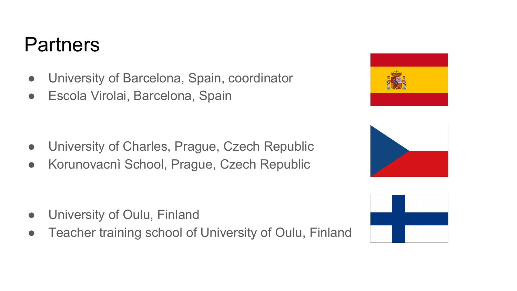#### **Partners**

- University of Barcelona, Spain, coordinator
- Escola Virolai, Barcelona, Spain

- University of Charles, Prague, Czech Republic
- Korunovacnì School, Prague, Czech Republic

- University of Oulu, Finland
- Teacher training school of University of Oulu, Finland





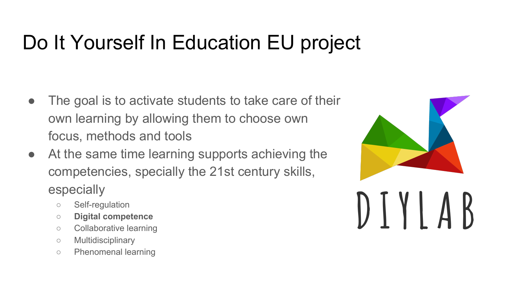#### Do It Yourself In Education EU project

- The goal is to activate students to take care of their own learning by allowing them to choose own focus, methods and tools
- At the same time learning supports achieving the competencies, specially the 21st century skills, especially
	- Self-regulation
	- **○ Digital competence**
	- Collaborative learning
	- Multidisciplinary
	- Phenomenal learning

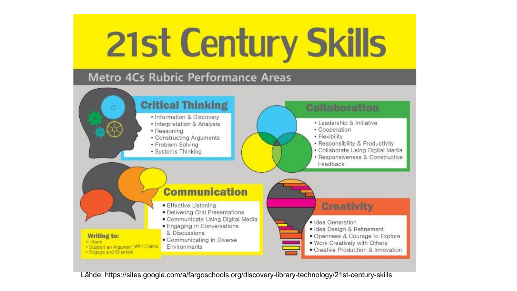# **21st Century Skills**

#### Metro 4Cs Rubric Performance Areas



Lähde: https://sites.google.com/a/fargoschools.org/discovery-library-technology/21st-century-skills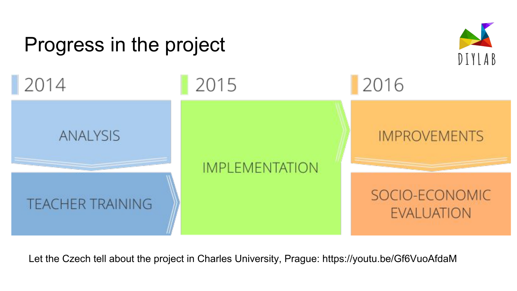

Let the Czech tell about the project in Charles University, Prague:<https://youtu.be/Gf6VuoAfdaM>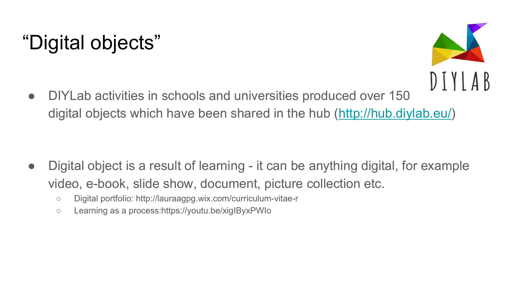### "Digital objects"



• DIYLab activities in schools and universities produced over 150 digital objects which have been shared in the hub ([http://hub.diylab.eu/\)](http://hub.diylab.eu/)

- Digital object is a result of learning it can be anything digital, for example video, e-book, slide show, document, picture collection etc.
	- Digital portfolio:<http://lauraagpg.wix.com/curriculum-vitae-r>
	- Learning as a process:<https://youtu.be/xigIByxPWIo>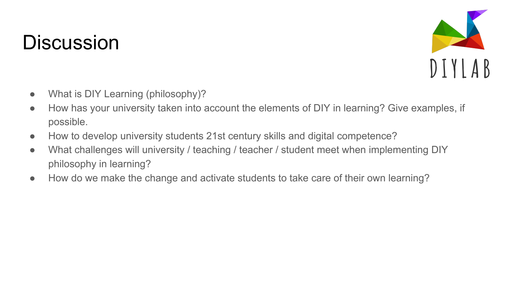#### **Discussion**



- What is DIY Learning (philosophy)?
- How has your university taken into account the elements of DIY in learning? Give examples, if possible.
- How to develop university students 21st century skills and digital competence?
- What challenges will university / teaching / teacher / student meet when implementing DIY philosophy in learning?
- How do we make the change and activate students to take care of their own learning?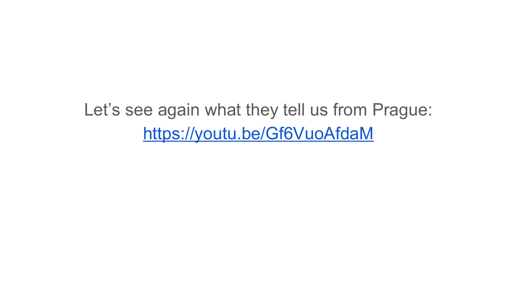Let's see again what they tell us from Prague: <https://youtu.be/Gf6VuoAfdaM>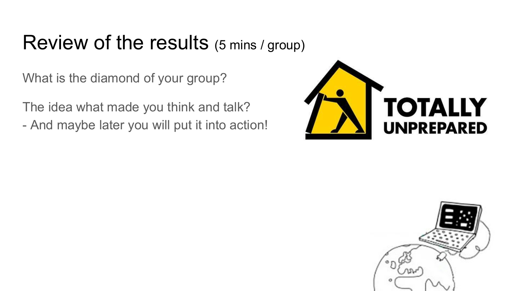#### Review of the results (5 mins / group)

What is the diamond of your group?

The idea what made you think and talk? - And maybe later you will put it into action!



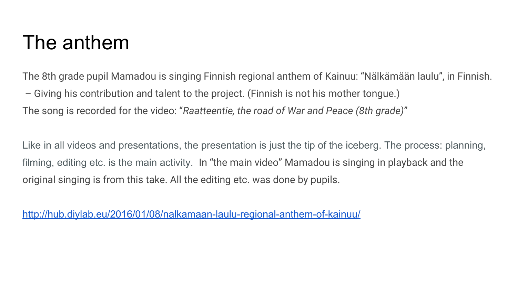#### The anthem

The 8th grade pupil Mamadou is singing Finnish regional anthem of Kainuu: "Nälkämään laulu", in Finnish. – Giving his contribution and talent to the project. (Finnish is not his mother tongue.) The song is recorded for the video: "*Raatteentie, the road of War and Peace (8th grade)*"

Like in all videos and presentations, the presentation is just the tip of the iceberg. The process: planning, filming, editing etc. is the main activity. In "the main video" Mamadou is singing in playback and the original singing is from this take. All the editing etc. was done by pupils.

<http://hub.diylab.eu/2016/01/08/nalkamaan-laulu-regional-anthem-of-kainuu/>